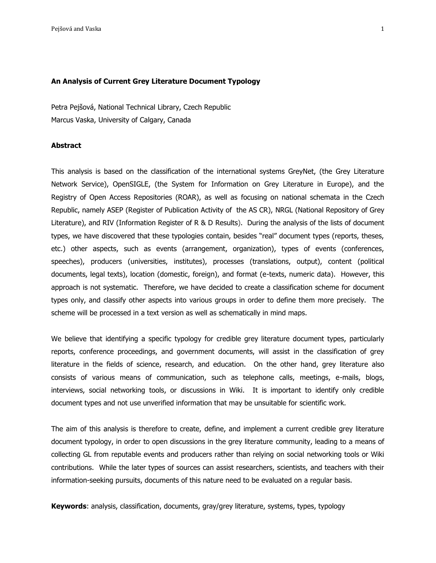#### **An Analysis of Current Grey Literature Document Typology**

Petra Pejšová, National Technical Library, Czech Republic Marcus Vaska, University of Calgary, Canada

# **Abstract**

This analysis is based on the classification of the international systems GreyNet, (the Grey Literature Network Service), OpenSIGLE, (the System for Information on Grey Literature in Europe), and the Registry of Open Access Repositories (ROAR), as well as focusing on national schemata in the Czech Republic, namely ASEP [\(Register](http://www.lib.cas.cz/knav/cz/asep.htm) of Publication Activity of the AS CR), NRGL (National Repository of Grey Literature), and RIV (Information Register of R & D Results). During the analysis of the lists of document types, we have discovered that these typologies contain, besides "real" document types (reports, theses, etc.) other aspects, such as events (arrangement, organization), types of events (conferences, speeches), producers (universities, institutes), processes (translations, output), content (political documents, legal texts), location (domestic, foreign), and format (e-texts, numeric data). However, this approach is not systematic. Therefore, we have decided to create a classification scheme for document types only, and classify other aspects into various groups in order to define them more precisely. The scheme will be processed in a text version as well as schematically in mind maps.

We believe that identifying a specific typology for credible grey literature document types, particularly reports, conference proceedings, and government documents, will assist in the classification of grey literature in the fields of science, research, and education. On the other hand, grey literature also consists of various means of communication, such as telephone calls, meetings, e-mails, blogs, interviews, social networking tools, or discussions in Wiki. It is important to identify only credible document types and not use unverified information that may be unsuitable for scientific work.

The aim of this analysis is therefore to create, define, and implement a current credible grey literature document typology, in order to open discussions in the grey literature community, leading to a means of collecting GL from reputable events and producers rather than relying on social networking tools or Wiki contributions. While the later types of sources can assist researchers, scientists, and teachers with their information-seeking pursuits, documents of this nature need to be evaluated on a regular basis.

**Keywords**: analysis, classification, documents, gray/grey literature, systems, types, typology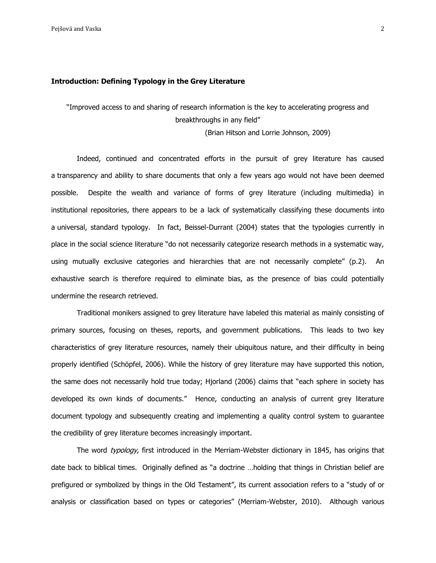### **Introduction: Defining Typology in the Grey Literature**

"Improved access to and sharing of research information is the key to accelerating progress and breakthroughs in any field"

(Brian Hitson and Lorrie Johnson, 2009)

Indeed, continued and concentrated efforts in the pursuit of grey literature has caused a transparency and ability to share documents that only a few years ago would not have been deemed possible. Despite the wealth and variance of forms of grey literature (including multimedia) in institutional repositories, there appears to be a lack of systematically classifying these documents into a universal, standard typology. In fact, Beissel-Durrant (2004) states that the typologies currently in place in the social science literature "do not necessarily categorize research methods in a systematic way, using mutually exclusive categories and hierarchies that are not necessarily complete" (p.2). An exhaustive search is therefore required to eliminate bias, as the presence of bias could potentially undermine the research retrieved.

Traditional monikers assigned to grey literature have labeled this material as mainly consisting of primary sources, focusing on theses, reports, and government publications. This leads to two key characteristics of grey literature resources, namely their ubiquitous nature, and their difficulty in being properly identified (Schöpfel, 2006). While the history of grey literature may have supported this notion, the same does not necessarily hold true today; Hjorland (2006) claims that "each sphere in society has developed its own kinds of documents." Hence, conducting an analysis of current grey literature document typology and subsequently creating and implementing a quality control system to guarantee the credibility of grey literature becomes increasingly important.

The word typology, first introduced in the Merriam-Webster dictionary in 1845, has origins that date back to biblical times. Originally defined as "a doctrine …holding that things in Christian belief are prefigured or symbolized by things in the Old Testament", its current association refers to a "study of or analysis or classification based on types or categories" (Merriam-Webster, 2010). Although various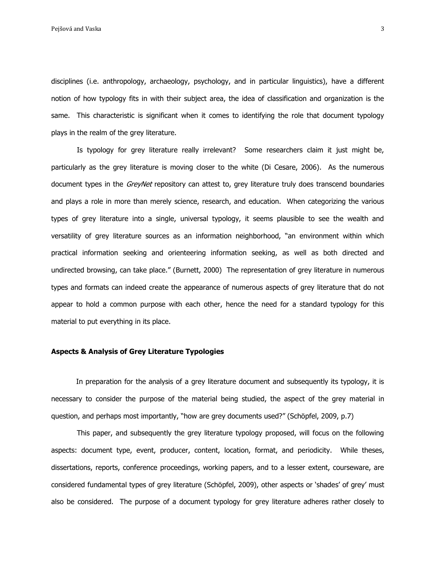disciplines (i.e. anthropology, archaeology, psychology, and in particular linguistics), have a different notion of how typology fits in with their subject area, the idea of classification and organization is the same. This characteristic is significant when it comes to identifying the role that document typology plays in the realm of the grey literature.

Is typology for grey literature really irrelevant? Some researchers claim it just might be, particularly as the grey literature is moving closer to the white (Di Cesare, 2006). As the numerous document types in the *GreyNet* repository can attest to, grey literature truly does transcend boundaries and plays a role in more than merely science, research, and education. When categorizing the various types of grey literature into a single, universal typology, it seems plausible to see the wealth and versatility of grey literature sources as an information neighborhood, "an environment within which practical information seeking and orienteering information seeking, as well as both directed and undirected browsing, can take place." (Burnett, 2000) The representation of grey literature in numerous types and formats can indeed create the appearance of numerous aspects of grey literature that do not appear to hold a common purpose with each other, hence the need for a standard typology for this material to put everything in its place.

# **Aspects & Analysis of Grey Literature Typologies**

In preparation for the analysis of a grey literature document and subsequently its typology, it is necessary to consider the purpose of the material being studied, the aspect of the grey material in question, and perhaps most importantly, "how are grey documents used?" (Schöpfel, 2009, p.7)

This paper, and subsequently the grey literature typology proposed, will focus on the following aspects: document type, event, producer, content, location, format, and periodicity. While theses, dissertations, reports, conference proceedings, working papers, and to a lesser extent, courseware, are considered fundamental types of grey literature (Schöpfel, 2009), other aspects or "shades" of grey" must also be considered. The purpose of a document typology for grey literature adheres rather closely to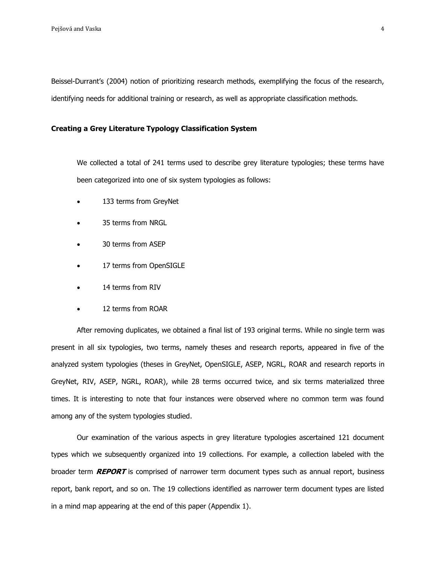Beissel-Durrant"s (2004) notion of prioritizing research methods, exemplifying the focus of the research, identifying needs for additional training or research, as well as appropriate classification methods.

# **Creating a Grey Literature Typology Classification System**

We collected a total of 241 terms used to describe grey literature typologies; these terms have been categorized into one of six system typologies as follows:

- 133 terms from GreyNet
- 35 terms from NRGL
- 30 terms from ASEP
- 17 terms from OpenSIGLE
- 14 terms from RIV
- 12 terms from ROAR

After removing duplicates, we obtained a final list of 193 original terms. While no single term was present in all six typologies, two terms, namely theses and research reports, appeared in five of the analyzed system typologies (theses in GreyNet, OpenSIGLE, ASEP, NGRL, ROAR and research reports in GreyNet, RIV, ASEP, NGRL, ROAR), while 28 terms occurred twice, and six terms materialized three times. It is interesting to note that four instances were observed where no common term was found among any of the system typologies studied.

Our examination of the various aspects in grey literature typologies ascertained 121 document types which we subsequently organized into 19 collections. For example, a collection labeled with the broader term **REPORT** is comprised of narrower term document types such as annual report, business report, bank report, and so on. The 19 collections identified as narrower term document types are listed in a mind map appearing at the end of this paper (Appendix 1).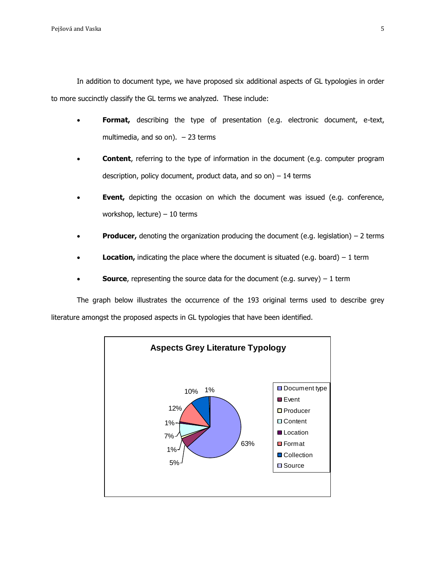In addition to document type, we have proposed six additional aspects of GL typologies in order to more succinctly classify the GL terms we analyzed. These include:

- **Format,** describing the type of presentation (e.g. electronic document, e-text, multimedia, and so on).  $-23$  terms
- **Content**, referring to the type of information in the document (e.g. computer program description, policy document, product data, and so on) – 14 terms
- **Event,** depicting the occasion on which the document was issued (e.g. conference, workshop, lecture) – 10 terms
- **Producer,** denoting the organization producing the document (e.g. legislation) 2 terms
- **Location,** indicating the place where the document is situated (e.g. board)  $-1$  term
- **Source**, representing the source data for the document (e.g. survey) 1 term

The graph below illustrates the occurrence of the 193 original terms used to describe grey literature amongst the proposed aspects in GL typologies that have been identified.

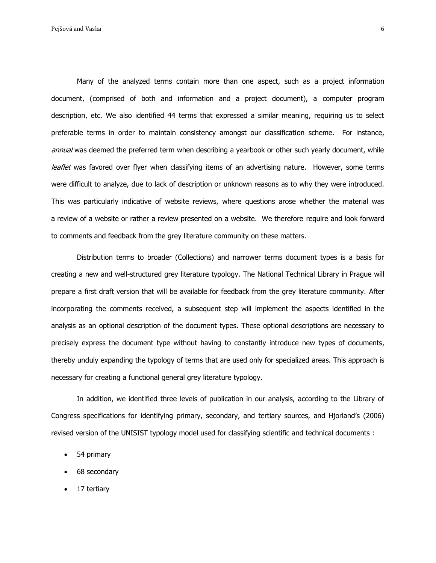Many of the analyzed terms contain more than one aspect, such as a project information document, (comprised of both and information and a project document), a computer program description, etc. We also identified 44 terms that expressed a similar meaning, requiring us to select preferable terms in order to maintain consistency amongst our classification scheme. For instance, annual was deemed the preferred term when describing a yearbook or other such yearly document, while leaflet was favored over flyer when classifying items of an advertising nature. However, some terms were difficult to analyze, due to lack of description or unknown reasons as to why they were introduced. This was particularly indicative of website reviews, where questions arose whether the material was a review of a website or rather a review presented on a website. We therefore require and look forward to comments and feedback from the grey literature community on these matters.

Distribution terms to broader (Collections) and narrower terms document types is a basis for creating a new and well-structured grey literature typology. The National Technical Library in Prague will prepare a first draft version that will be available for feedback from the grey literature community. After incorporating the comments received, a subsequent step will implement the aspects identified in the analysis as an optional description of the document types. These optional descriptions are necessary to precisely express the document type without having to constantly introduce new types of documents, thereby unduly expanding the typology of terms that are used only for specialized areas. This approach is necessary for creating a functional general grey literature typology.

In addition, we identified three levels of publication in our analysis, according to the Library of Congress specifications for identifying primary, secondary, and tertiary sources, and Hjorland"s (2006) revised version of the UNISIST typology model used for classifying scientific and technical documents :

- 54 primary
- 68 secondary
- 17 tertiary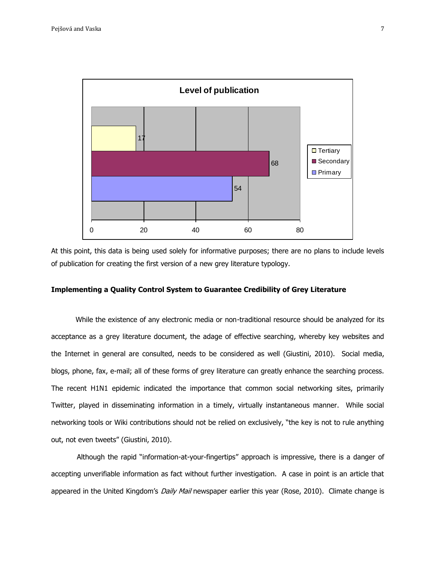

At this point, this data is being used solely for informative purposes; there are no plans to include levels of publication for creating the first version of a new grey literature typology.

# **Implementing a Quality Control System to Guarantee Credibility of Grey Literature**

 While the existence of any electronic media or non-traditional resource should be analyzed for its acceptance as a grey literature document, the adage of effective searching, whereby key websites and the Internet in general are consulted, needs to be considered as well (Giustini, 2010). Social media, blogs, phone, fax, e-mail; all of these forms of grey literature can greatly enhance the searching process. The recent H1N1 epidemic indicated the importance that common social networking sites, primarily Twitter, played in disseminating information in a timely, virtually instantaneous manner. While social networking tools or Wiki contributions should not be relied on exclusively, "the key is not to rule anything out, not even tweets" (Giustini, 2010).

Although the rapid "information-at-your-fingertips" approach is impressive, there is a danger of accepting unverifiable information as fact without further investigation. A case in point is an article that appeared in the United Kingdom's Daily Mail newspaper earlier this year (Rose, 2010). Climate change is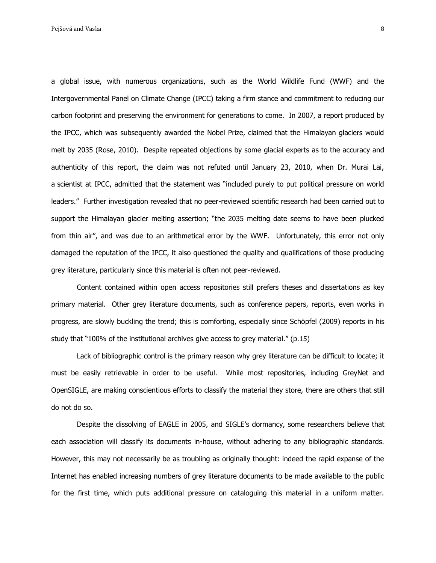a global issue, with numerous organizations, such as the World Wildlife Fund (WWF) and the Intergovernmental Panel on Climate Change (IPCC) taking a firm stance and commitment to reducing our carbon footprint and preserving the environment for generations to come. In 2007, a report produced by the IPCC, which was subsequently awarded the Nobel Prize, claimed that the Himalayan glaciers would melt by 2035 (Rose, 2010). Despite repeated objections by some glacial experts as to the accuracy and authenticity of this report, the claim was not refuted until January 23, 2010, when Dr. Murai Lai, a scientist at IPCC, admitted that the statement was "included purely to put political pressure on world leaders." Further investigation revealed that no peer-reviewed scientific research had been carried out to support the Himalayan glacier melting assertion; "the 2035 melting date seems to have been plucked from thin air", and was due to an arithmetical error by the WWF. Unfortunately, this error not only damaged the reputation of the IPCC, it also questioned the quality and qualifications of those producing grey literature, particularly since this material is often not peer-reviewed.

Content contained within open access repositories still prefers theses and dissertations as key primary material. Other grey literature documents, such as conference papers, reports, even works in progress, are slowly buckling the trend; this is comforting, especially since Schöpfel (2009) reports in his study that "100% of the institutional archives give access to grey material." (p.15)

Lack of bibliographic control is the primary reason why grey literature can be difficult to locate; it must be easily retrievable in order to be useful. While most repositories, including GreyNet and OpenSIGLE, are making conscientious efforts to classify the material they store, there are others that still do not do so.

Despite the dissolving of EAGLE in 2005, and SIGLE"s dormancy, some researchers believe that each association will classify its documents in-house, without adhering to any bibliographic standards. However, this may not necessarily be as troubling as originally thought: indeed the rapid expanse of the Internet has enabled increasing numbers of grey literature documents to be made available to the public for the first time, which puts additional pressure on cataloguing this material in a uniform matter.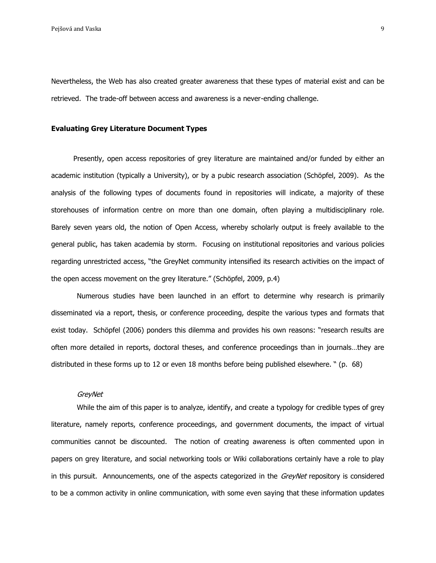Nevertheless, the Web has also created greater awareness that these types of material exist and can be retrieved. The trade-off between access and awareness is a never-ending challenge.

# **Evaluating Grey Literature Document Types**

 Presently, open access repositories of grey literature are maintained and/or funded by either an academic institution (typically a University), or by a pubic research association (Schöpfel, 2009). As the analysis of the following types of documents found in repositories will indicate, a majority of these storehouses of information centre on more than one domain, often playing a multidisciplinary role. Barely seven years old, the notion of Open Access, whereby scholarly output is freely available to the general public, has taken academia by storm. Focusing on institutional repositories and various policies regarding unrestricted access, "the GreyNet community intensified its research activities on the impact of the open access movement on the grey literature." (Schöpfel, 2009, p.4)

Numerous studies have been launched in an effort to determine why research is primarily disseminated via a report, thesis, or conference proceeding, despite the various types and formats that exist today. Schöpfel (2006) ponders this dilemma and provides his own reasons: "research results are often more detailed in reports, doctoral theses, and conference proceedings than in journals…they are distributed in these forms up to 12 or even 18 months before being published elsewhere. " (p. 68)

### **GreyNet**

While the aim of this paper is to analyze, identify, and create a typology for credible types of grey literature, namely reports, conference proceedings, and government documents, the impact of virtual communities cannot be discounted. The notion of creating awareness is often commented upon in papers on grey literature, and social networking tools or Wiki collaborations certainly have a role to play in this pursuit. Announcements, one of the aspects categorized in the GreyNet repository is considered to be a common activity in online communication, with some even saying that these information updates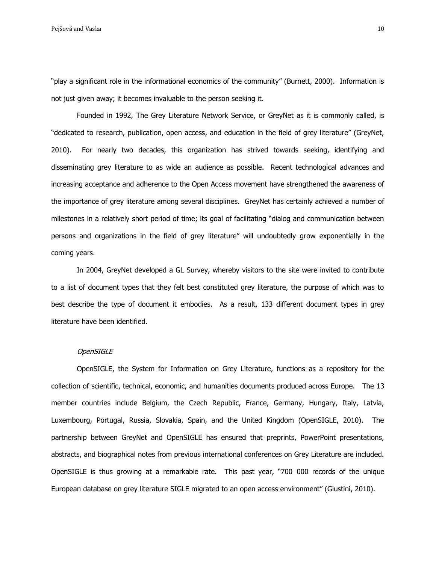Pejšová and Vaska 10 km i stranie v roce 10 km i stranie v roce 10 km i stranie v roce 10 km i stranie v roce 10 km i stranie v roce 10 km i stranie v roce 10 km i stranie v roce 10 km i stranie v roce 10 km i stranie v ro

"play a significant role in the informational economics of the community" (Burnett, 2000). Information is not just given away; it becomes invaluable to the person seeking it.

Founded in 1992, The Grey Literature Network Service, or GreyNet as it is commonly called, is "dedicated to research, publication, open access, and education in the field of grey literature" (GreyNet, 2010). For nearly two decades, this organization has strived towards seeking, identifying and disseminating grey literature to as wide an audience as possible. Recent technological advances and increasing acceptance and adherence to the Open Access movement have strengthened the awareness of the importance of grey literature among several disciplines. GreyNet has certainly achieved a number of milestones in a relatively short period of time; its goal of facilitating "dialog and communication between persons and organizations in the field of grey literature" will undoubtedly grow exponentially in the coming years.

In 2004, GreyNet developed a GL Survey, whereby visitors to the site were invited to contribute to a list of document types that they felt best constituted grey literature, the purpose of which was to best describe the type of document it embodies. As a result, 133 different document types in grey literature have been identified.

### **OpenSIGLE**

OpenSIGLE, the System for Information on Grey Literature, functions as a repository for the collection of scientific, technical, economic, and humanities documents produced across Europe. The 13 member countries include Belgium, the Czech Republic, France, Germany, Hungary, Italy, Latvia, Luxembourg, Portugal, Russia, Slovakia, Spain, and the United Kingdom (OpenSIGLE, 2010). The partnership between GreyNet and OpenSIGLE has ensured that preprints, PowerPoint presentations, abstracts, and biographical notes from previous international conferences on Grey Literature are included. OpenSIGLE is thus growing at a remarkable rate. This past year, "700 000 records of the unique European database on grey literature SIGLE migrated to an open access environment" (Giustini, 2010).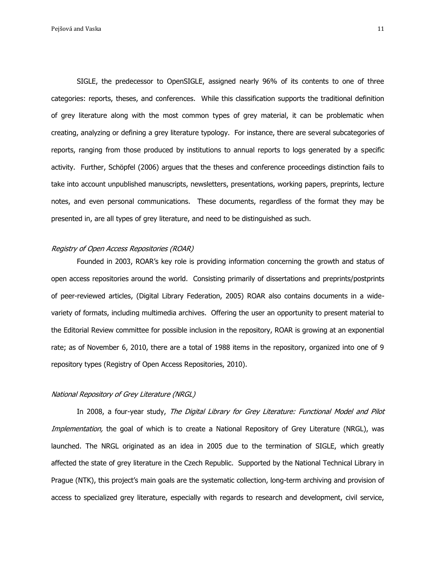Pejšová and Vaska 11 helyen v 11 helyen v 12 helyen v 12 helyen v 12 helyen v 12 helyen v 12 helyen v 12 helyen v 12 helyen v 12 helyen v 12 helyen v 12 helyen v 12 helyen v 12 helyen v 12 helyen v 12 helyen v 12 helyen v

SIGLE, the predecessor to OpenSIGLE, assigned nearly 96% of its contents to one of three categories: reports, theses, and conferences. While this classification supports the traditional definition of grey literature along with the most common types of grey material, it can be problematic when creating, analyzing or defining a grey literature typology. For instance, there are several subcategories of reports, ranging from those produced by institutions to annual reports to logs generated by a specific activity. Further, Schöpfel (2006) argues that the theses and conference proceedings distinction fails to take into account unpublished manuscripts, newsletters, presentations, working papers, preprints, lecture notes, and even personal communications. These documents, regardless of the format they may be presented in, are all types of grey literature, and need to be distinguished as such.

### Registry of Open Access Repositories (ROAR)

Founded in 2003, ROAR's key role is providing information concerning the growth and status of open access repositories around the world. Consisting primarily of dissertations and preprints/postprints of peer-reviewed articles, (Digital Library Federation, 2005) ROAR also contains documents in a widevariety of formats, including multimedia archives. Offering the user an opportunity to present material to the Editorial Review committee for possible inclusion in the repository, ROAR is growing at an exponential rate; as of November 6, 2010, there are a total of 1988 items in the repository, organized into one of 9 repository types (Registry of Open Access Repositories, 2010).

### National Repository of Grey Literature (NRGL)

In 2008, a four-year study, The Digital Library for Grey Literature: Functional Model and Pilot Implementation, the goal of which is to create a National Repository of Grey Literature (NRGL), was launched. The NRGL originated as an idea in 2005 due to the termination of SIGLE, which greatly affected the state of grey literature in the Czech Republic. Supported by the National Technical Library in Prague (NTK), this project's main goals are the systematic collection, long-term archiving and provision of access to specialized grey literature, especially with regards to research and development, civil service,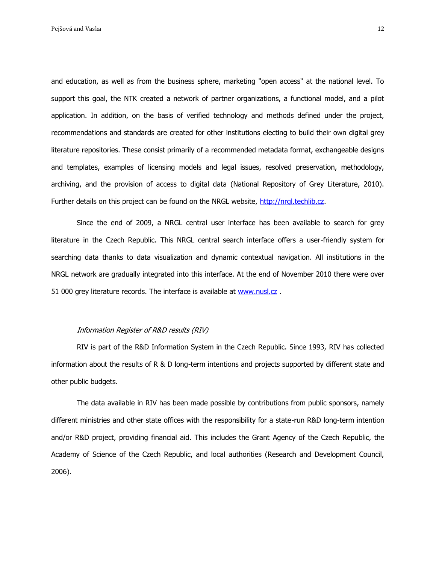and education, as well as from the business sphere, marketing "open access" at the national level. To support this goal, the NTK created a network of partner organizations, a functional model, and a pilot application. In addition, on the basis of verified technology and methods defined under the project, recommendations and standards are created for other institutions electing to build their own digital grey literature repositories. These consist primarily of a recommended metadata format, exchangeable designs and templates, examples of licensing models and legal issues, resolved preservation, methodology, archiving, and the provision of access to digital data (National Repository of Grey Literature, 2010). Further details on this project can be found on the NRGL website, [http://nrgl.techlib.cz.](http://nrgl.techlib.cz/)

Since the end of 2009, a NRGL central user interface has been available to search for grey literature in the Czech Republic. This NRGL central search interface offers a user-friendly system for searching data thanks to data visualization and dynamic contextual navigation. All institutions in the NRGL network are gradually integrated into this interface. At the end of November 2010 there were over 51 000 grey literature records. The interface is available at [www.nusl.cz](http://www.nusl.cz/).

### Information Register of R&D results (RIV)

RIV is part of the R&D Information System in the Czech Republic. Since 1993, RIV has collected information about the results of R & D long-term intentions and projects supported by different state and other public budgets.

The data available in RIV has been made possible by contributions from public sponsors, namely different ministries and other state offices with the responsibility for a state-run R&D long-term intention and/or R&D project, providing financial aid. This includes the Grant Agency of the Czech Republic, the Academy of Science of the Czech Republic, and local authorities (Research and Development Council, 2006).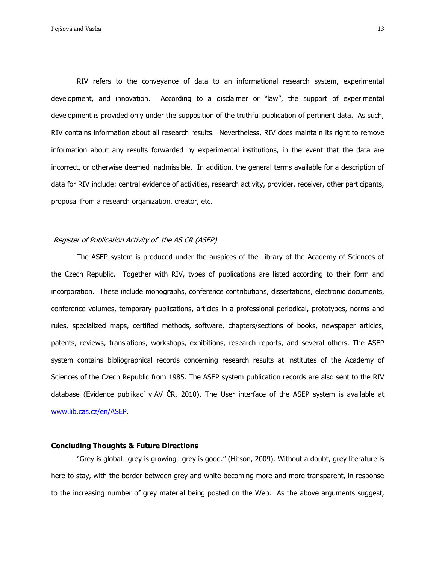RIV refers to the conveyance of data to an informational research system, experimental development, and innovation. According to a disclaimer or "law", the support of experimental development is provided only under the supposition of the truthful publication of pertinent data. As such, RIV contains information about all research results. Nevertheless, RIV does maintain its right to remove information about any results forwarded by experimental institutions, in the event that the data are incorrect, or otherwise deemed inadmissible. In addition, the general terms available for a description of data for RIV include: central evidence of activities, research activity, provider, receiver, other participants, proposal from a research organization, creator, etc.

#### [Register](http://www.lib.cas.cz/knav/cz/asep.htm) of Publication Activity of the AS CR (ASEP)

The ASEP system is produced under the auspices of the Library of the Academy of Sciences of the Czech Republic. Together with RIV, types of publications are listed according to their form and incorporation. These include monographs, conference contributions, dissertations, electronic documents, conference volumes, temporary publications, articles in a professional periodical, prototypes, norms and rules, specialized maps, certified methods, software, chapters/sections of books, newspaper articles, patents, reviews, translations, workshops, exhibitions, research reports, and several others. The ASEP system contains bibliographical records concerning research results at institutes of the Academy of Sciences of the Czech Republic from 1985. The ASEP system publication records are also sent to the RIV database (Evidence publikací v AV ČR, 2010). The User interface of the ASEP system is available at [www.lib.cas.cz/en/ASEP.](http://www.lib.cas.cz/en/ASEP)

# **Concluding Thoughts & Future Directions**

"Grey is global…grey is growing…grey is good." (Hitson, 2009). Without a doubt, grey literature is here to stay, with the border between grey and white becoming more and more transparent, in response to the increasing number of grey material being posted on the Web. As the above arguments suggest,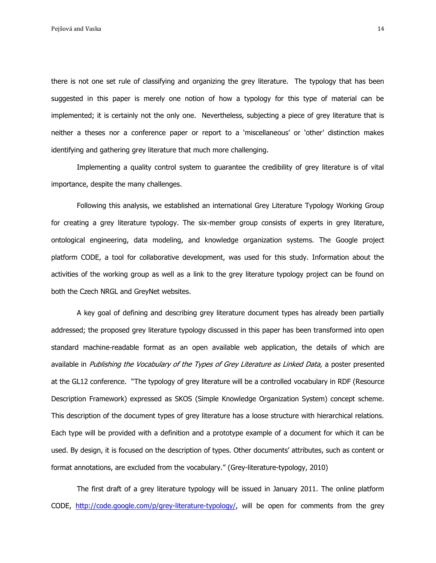there is not one set rule of classifying and organizing the grey literature. The typology that has been suggested in this paper is merely one notion of how a typology for this type of material can be implemented; it is certainly not the only one. Nevertheless, subjecting a piece of grey literature that is neither a theses nor a conference paper or report to a "miscellaneous" or "other" distinction makes identifying and gathering grey literature that much more challenging.

Implementing a quality control system to guarantee the credibility of grey literature is of vital importance, despite the many challenges.

Following this analysis, we established an international Grey Literature Typology Working Group for creating a grey literature typology. The six-member group consists of experts in grey literature, ontological engineering, data modeling, and knowledge organization systems. The Google project platform CODE, a tool for collaborative development, was used for this study. Information about the activities of the working group as well as a link to the grey literature typology project can be found on both the Czech NRGL and GreyNet websites.

A key goal of defining and describing grey literature document types has already been partially addressed; the proposed grey literature typology discussed in this paper has been transformed into open standard machine-readable format as an open available web application, the details of which are available in Publishing the Vocabulary of the Types of Grey Literature as Linked Data, a poster presented at the GL12 conference. "The typology of grey literature will be a controlled vocabulary in RDF (Resource Description Framework) expressed as SKOS (Simple Knowledge Organization System) concept scheme. This description of the document types of grey literature has a loose structure with hierarchical relations. Each type will be provided with a definition and a prototype example of a document for which it can be used. By design, it is focused on the description of types. Other documents" attributes, such as content or format annotations, are excluded from the vocabulary." ([Grey-literature-typology,](http://code.google.com/p/grey-literature-typology/) 2010)

The first draft of a grey literature typology will be issued in January 2011. The online platform CODE, [http://code.google.com/p/grey-literature-typology/,](http://code.google.com/p/grey-literature-typology/) will be open for comments from the grey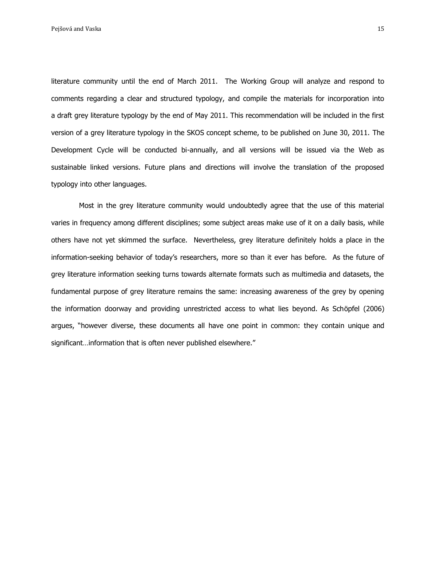literature community until the end of March 2011. The Working Group will analyze and respond to comments regarding a clear and structured typology, and compile the materials for incorporation into a draft grey literature typology by the end of May 2011. This recommendation will be included in the first version of a grey literature typology in the SKOS concept scheme, to be published on June 30, 2011. The Development Cycle will be conducted bi-annually, and all versions will be issued via the Web as sustainable linked versions. Future plans and directions will involve the translation of the proposed typology into other languages.

Most in the grey literature community would undoubtedly agree that the use of this material varies in frequency among different disciplines; some subject areas make use of it on a daily basis, while others have not yet skimmed the surface. Nevertheless, grey literature definitely holds a place in the information-seeking behavior of today's researchers, more so than it ever has before. As the future of grey literature information seeking turns towards alternate formats such as multimedia and datasets, the fundamental purpose of grey literature remains the same: increasing awareness of the grey by opening the information doorway and providing unrestricted access to what lies beyond. As Schöpfel (2006) argues, "however diverse, these documents all have one point in common: they contain unique and significant…information that is often never published elsewhere."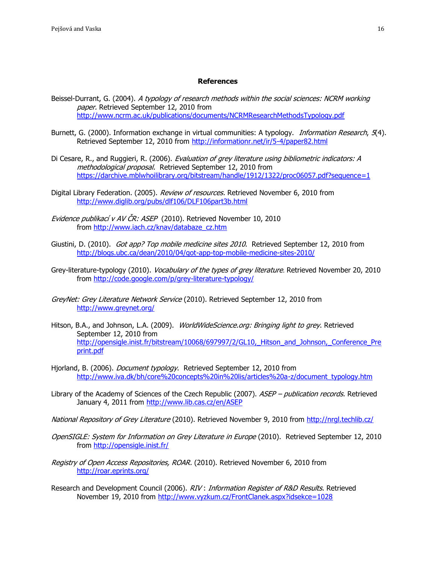#### **References**

- Beissel-Durrant, G. (2004). A typology of research methods within the social sciences: NCRM working paper. Retrieved September 12, 2010 from <http://www.ncrm.ac.uk/publications/documents/NCRMResearchMethodsTypology.pdf>
- Burnett, G. (2000). Information exchange in virtual communities: A typology. *Information Research*, 5(4). Retrieved September 12, 2010 from<http://informationr.net/ir/5-4/paper82.html>
- Di Cesare, R., and Ruggieri, R. (2006). Evaluation of grey literature using bibliometric indicators: A methodological proposal. Retrieved September 12, 2010 from <https://darchive.mblwhoilibrary.org/bitstream/handle/1912/1322/proc06057.pdf?sequence=1>
- Digital Library Federation. (2005). Review of resources. Retrieved November 6, 2010 from <http://www.diglib.org/pubs/dlf106/DLF106part3b.html>
- Evidence publikací v AV ČR: ASEP (2010). Retrieved November 10, 2010 from [http://www.iach.cz/knav/databaze\\_cz.htm](http://www.iach.cz/knav/databaze_cz.htm)
- Giustini, D. (2010). Got app? Top mobile medicine sites 2010. Retrieved September 12, 2010 from <http://blogs.ubc.ca/dean/2010/04/got-app-top-mobile-medicine-sites-2010/>
- Grey-literature-typology (2010). Vocabulary [of the types of grey literature](http://code.google.com/p/grey-literature-typology/). Retrieved November 20, 2010 from<http://code.google.com/p/grey-literature-typology/>
- GreyNet: Grey Literature Network Service (2010). Retrieved September 12, 2010 from <http://www.greynet.org/>
- Hitson, B.A., and Johnson, L.A. (2009). WorldWideScience.org: Bringing light to grey. Retrieved September 12, 2010 from http://opensigle.inist.fr/bitstream/10068/697997/2/GL10, Hitson and Johnson, Conference Pre [print.pdf](http://opensigle.inist.fr/bitstream/10068/697997/2/GL10,_Hitson_and_Johnson,_Conference_Preprint.pdf)
- Hjorland, B. (2006). *Document typology*. Retrieved September 12, 2010 from [http://www.iva.dk/bh/core%20concepts%20in%20lis/articles%20a-z/document\\_typology.htm](http://www.iva.dk/bh/core%20concepts%20in%20lis/articles%20a-z/document_typology.htm)
- Library of the Academy of Sciences of the Czech Republic (2007). ASEP publication records. Retrieved January 4, 2011 from<http://www.lib.cas.cz/en/ASEP>

National Repository of Grey Literature (2010). Retrieved November 9, 2010 from<http://nrgl.techlib.cz/>

- OpenSIGLE: System for Information on Grey Literature in Europe (2010). Retrieved September 12, 2010 from<http://opensigle.inist.fr/>
- Registry of Open Access Repositories, ROAR. (2010). Retrieved November 6, 2010 from <http://roar.eprints.org/>
- Research and Development Council (2006). RIV: Information Register of R&D Results. Retrieved November 19, 2010 from <http://www.vyzkum.cz/FrontClanek.aspx?idsekce=1028>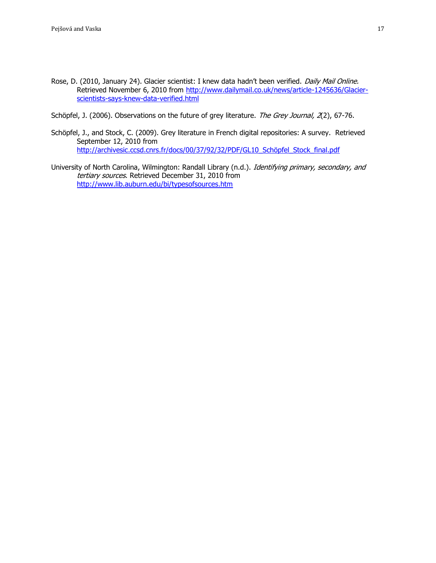- Rose, D. (2010, January 24). Glacier scientist: I knew data hadn't been verified. Daily Mail Online. Retrieved November 6, 2010 from [http://www.dailymail.co.uk/news/article-1245636/Glacier](http://www.dailymail.co.uk/news/article-1245636/Glacier-scientists-says-knew-data-verified.html)[scientists-says-knew-data-verified.html](http://www.dailymail.co.uk/news/article-1245636/Glacier-scientists-says-knew-data-verified.html)
- Schöpfel, J. (2006). Observations on the future of grey literature. The Grey Journal, 2(2), 67-76.
- Schöpfel, J., and Stock, C. (2009). Grey literature in French digital repositories: A survey. Retrieved September 12, 2010 from [http://archivesic.ccsd.cnrs.fr/docs/00/37/92/32/PDF/GL10\\_Schöpfel\\_Stock\\_final.pdf](http://archivesic.ccsd.cnrs.fr/docs/00/37/92/32/PDF/GL10_Schöpfel_Stock_final.pdf)
- University of North Carolina, Wilmington: Randall Library (n.d.). Identifying primary, secondary, and tertiary sources. Retrieved December 31, 2010 from <http://www.lib.auburn.edu/bi/typesofsources.htm>